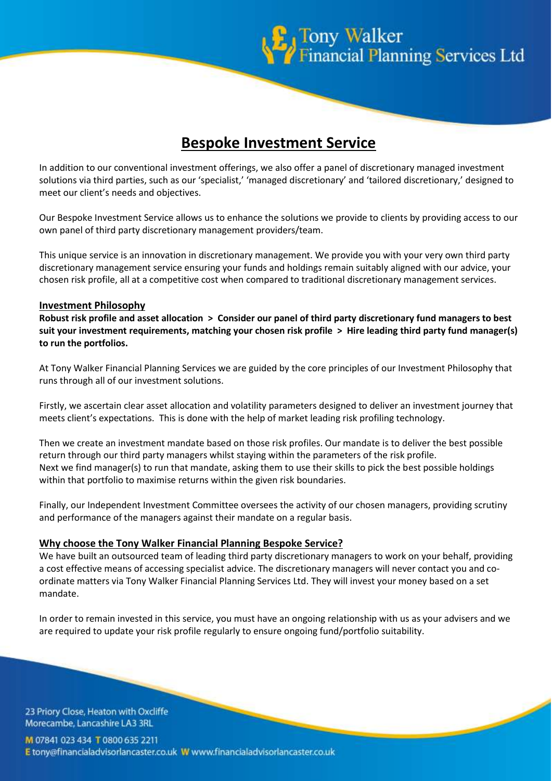

# **Bespoke Investment Service**

In addition to our conventional investment offerings, we also offer a panel of discretionary managed investment solutions via third parties, such as our 'specialist,' 'managed discretionary' and 'tailored discretionary,' designed to meet our client's needs and objectives.

Our Bespoke Investment Service allows us to enhance the solutions we provide to clients by providing access to our own panel of third party discretionary management providers/team.

This unique service is an innovation in discretionary management. We provide you with your very own third party discretionary management service ensuring your funds and holdings remain suitably aligned with our advice, your chosen risk profile, all at a competitive cost when compared to traditional discretionary management services.

#### **Investment Philosophy**

**Robust risk profile and asset allocation > Consider our panel of third party discretionary fund managers to best suit your investment requirements, matching your chosen risk profile > Hire leading third party fund manager(s) to run the portfolios.**

At Tony Walker Financial Planning Services we are guided by the core principles of our Investment Philosophy that runs through all of our investment solutions.

Firstly, we ascertain clear asset allocation and volatility parameters designed to deliver an investment journey that meets client's expectations. This is done with the help of market leading risk profiling technology.

Then we create an investment mandate based on those risk profiles. Our mandate is to deliver the best possible return through our third party managers whilst staying within the parameters of the risk profile. Next we find manager(s) to run that mandate, asking them to use their skills to pick the best possible holdings within that portfolio to maximise returns within the given risk boundaries.

Finally, our Independent Investment Committee oversees the activity of our chosen managers, providing scrutiny and performance of the managers against their mandate on a regular basis.

#### **Why choose the Tony Walker Financial Planning Bespoke Service?**

We have built an outsourced team of leading third party discretionary managers to work on your behalf, providing a cost effective means of accessing specialist advice. The discretionary managers will never contact you and coordinate matters via Tony Walker Financial Planning Services Ltd. They will invest your money based on a set mandate.

In order to remain invested in this service, you must have an ongoing relationship with us as your advisers and we are required to update your risk profile regularly to ensure ongoing fund/portfolio suitability.

23 Priory Close, Heaton with Oxcliffe Morecambe, Lancashire LA3 3RL

M 07841 023 434 T 0800 635 2211 E tony@financialadvisorlancaster.co.uk W www.financialadvisorlancaster.co.uk